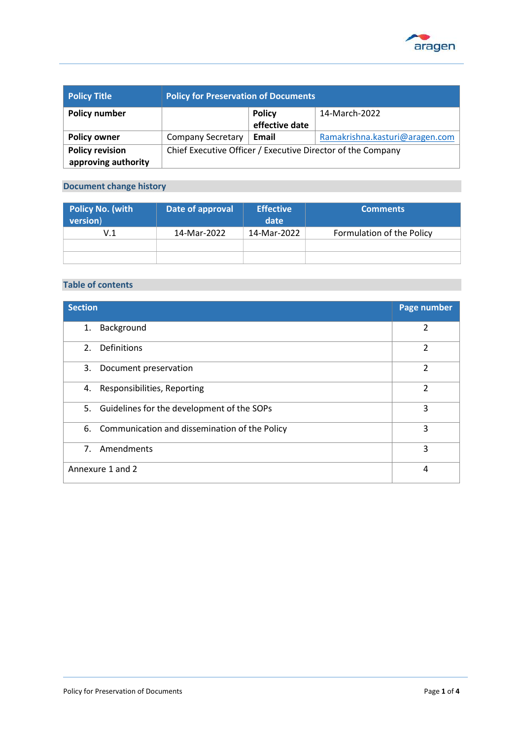

| <b>Policy Title</b>    | <b>Policy for Preservation of Documents</b>                 |                |                                |
|------------------------|-------------------------------------------------------------|----------------|--------------------------------|
| <b>Policy number</b>   |                                                             | <b>Policy</b>  | 14-March-2022                  |
|                        |                                                             | effective date |                                |
| <b>Policy owner</b>    | <b>Company Secretary</b>                                    | Email          | Ramakrishna.kasturi@aragen.com |
| <b>Policy revision</b> | Chief Executive Officer / Executive Director of the Company |                |                                |
| approving authority    |                                                             |                |                                |

# **Document change history**

| <b>Policy No. (with</b><br>version) | Date of approval | <b>Effective</b><br>date | <b>Comments</b>           |
|-------------------------------------|------------------|--------------------------|---------------------------|
| V.1                                 | 14-Mar-2022      | 14-Mar-2022              | Formulation of the Policy |
|                                     |                  |                          |                           |
|                                     |                  |                          |                           |

# **Table of contents**

| <b>Section</b>                                   | Page number    |
|--------------------------------------------------|----------------|
| Background<br>1.                                 | $\overline{2}$ |
| Definitions<br>2.                                | 2              |
| 3.<br>Document preservation                      | $\overline{2}$ |
| Responsibilities, Reporting<br>4.                | $\overline{2}$ |
| 5. Guidelines for the development of the SOPs    | 3              |
| 6. Communication and dissemination of the Policy | 3              |
| Amendments<br>7.                                 | 3              |
| Annexure 1 and 2                                 | 4              |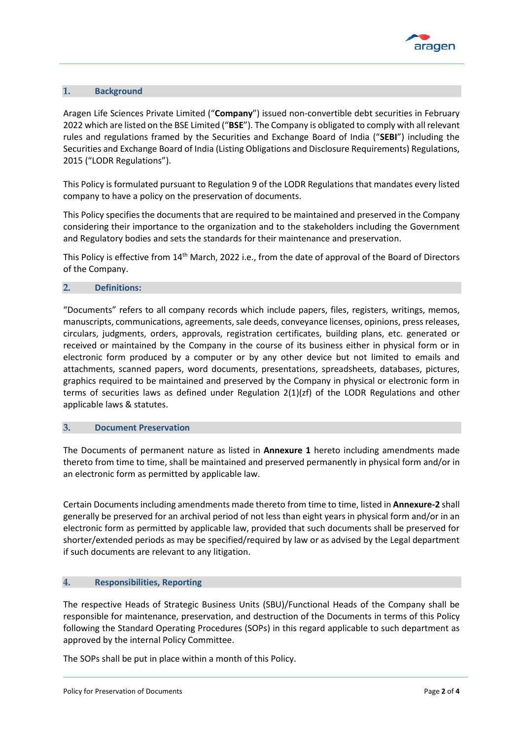

# **1. Background**

Aragen Life Sciences Private Limited ("**Company**") issued non-convertible debt securities in February 2022 which are listed on the BSE Limited ("**BSE**"). The Company is obligated to comply with all relevant rules and regulations framed by the Securities and Exchange Board of India ("**SEBI**") including the Securities and Exchange Board of India (Listing Obligations and Disclosure Requirements) Regulations, 2015 ("LODR Regulations").

This Policy is formulated pursuant to Regulation 9 of the LODR Regulations that mandates every listed company to have a policy on the preservation of documents.

This Policy specifies the documents that are required to be maintained and preserved in the Company considering their importance to the organization and to the stakeholders including the Government and Regulatory bodies and sets the standards for their maintenance and preservation.

This Policy is effective from 14th March, 2022 i.e., from the date of approval of the Board of Directors of the Company.

### **2. Definitions:**

"Documents" refers to all company records which include papers, files, registers, writings, memos, manuscripts, communications, agreements, sale deeds, conveyance licenses, opinions, press releases, circulars, judgments, orders, approvals, registration certificates, building plans, etc. generated or received or maintained by the Company in the course of its business either in physical form or in electronic form produced by a computer or by any other device but not limited to emails and attachments, scanned papers, word documents, presentations, spreadsheets, databases, pictures, graphics required to be maintained and preserved by the Company in physical or electronic form in terms of securities laws as defined under Regulation 2(1)(zf) of the LODR Regulations and other applicable laws & statutes.

#### **3. Document Preservation**

The Documents of permanent nature as listed in **Annexure 1** hereto including amendments made thereto from time to time, shall be maintained and preserved permanently in physical form and/or in an electronic form as permitted by applicable law.

Certain Documents including amendments made thereto from time to time, listed in **Annexure-2** shall generally be preserved for an archival period of not less than eight years in physical form and/or in an electronic form as permitted by applicable law, provided that such documents shall be preserved for shorter/extended periods as may be specified/required by law or as advised by the Legal department if such documents are relevant to any litigation.

# **4. Responsibilities, Reporting**

The respective Heads of Strategic Business Units (SBU)/Functional Heads of the Company shall be responsible for maintenance, preservation, and destruction of the Documents in terms of this Policy following the Standard Operating Procedures (SOPs) in this regard applicable to such department as approved by the internal Policy Committee.

The SOPs shall be put in place within a month of this Policy.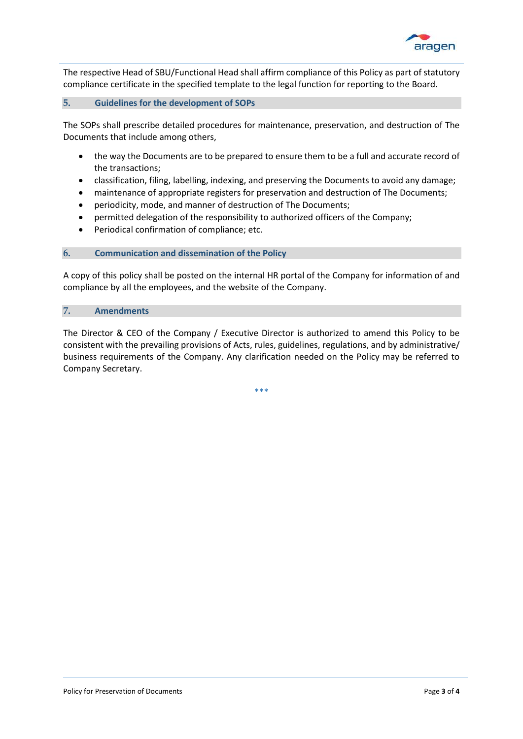

The respective Head of SBU/Functional Head shall affirm compliance of this Policy as part of statutory compliance certificate in the specified template to the legal function for reporting to the Board.

### **5. Guidelines for the development of SOPs**

The SOPs shall prescribe detailed procedures for maintenance, preservation, and destruction of The Documents that include among others,

- the way the Documents are to be prepared to ensure them to be a full and accurate record of the transactions;
- classification, filing, labelling, indexing, and preserving the Documents to avoid any damage;
- maintenance of appropriate registers for preservation and destruction of The Documents;
- periodicity, mode, and manner of destruction of The Documents;
- permitted delegation of the responsibility to authorized officers of the Company;
- Periodical confirmation of compliance; etc.

#### **6. Communication and dissemination of the Policy**

A copy of this policy shall be posted on the internal HR portal of the Company for information of and compliance by all the employees, and the website of the Company.

#### **7. Amendments**

The Director & CEO of the Company / Executive Director is authorized to amend this Policy to be consistent with the prevailing provisions of Acts, rules, guidelines, regulations, and by administrative/ business requirements of the Company. Any clarification needed on the Policy may be referred to Company Secretary.

\*\*\*